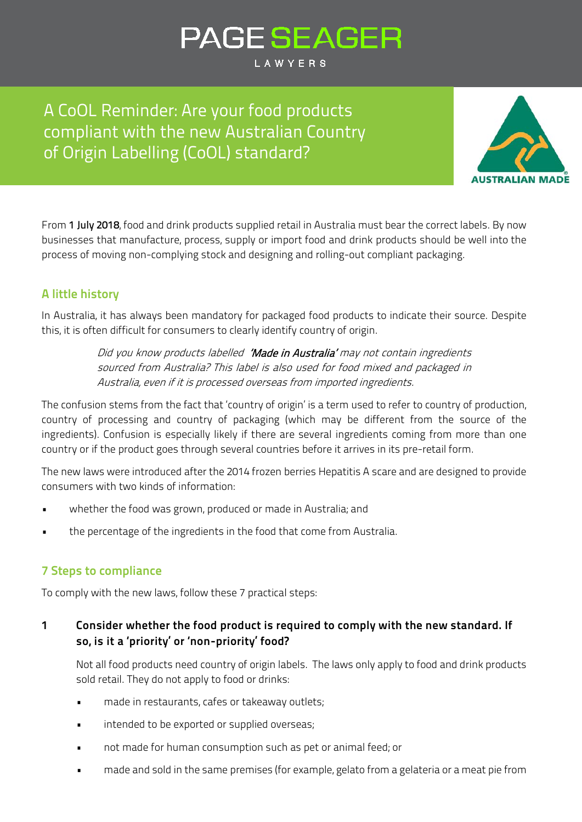# **PAGE SEAGER**

LAWYERS

A CoOL Reminder: Are your food products compliant with the new Australian Country of Origin Labelling (CoOL) standard?



From 1 July 2018, food and drink products supplied retail in Australia must bear the correct labels. By now businesses that manufacture, process, supply or import food and drink products should be well into the process of moving non-complying stock and designing and rolling-out compliant packaging.

## **A little history**

In Australia, it has always been mandatory for packaged food products to indicate their source. Despite this, it is often difficult for consumers to clearly identify country of origin.

> Did you know products labelled 'Made in Australia' may not contain ingredients sourced from Australia? This label is also used for food mixed and packaged in Australia, even if it is processed overseas from imported ingredients.

The confusion stems from the fact that 'country of origin' is a term used to refer to country of production, country of processing and country of packaging (which may be different from the source of the ingredients). Confusion is especially likely if there are several ingredients coming from more than one country or if the product goes through several countries before it arrives in its pre-retail form.

The new laws were introduced after the 2014 frozen berries Hepatitis A scare and are designed to provide consumers with two kinds of information:

- whether the food was grown, produced or made in Australia; and
- the percentage of the ingredients in the food that come from Australia.

## **7 Steps to compliance**

To comply with the new laws, follow these 7 practical steps:

## **1 Consider whether the food product is required to comply with the new standard. If so, is it a 'priority' or 'non-priority' food?**

Not all food products need country of origin labels. The laws only apply to food and drink products sold retail. They do not apply to food or drinks:

- made in restaurants, cafes or takeaway outlets;
- intended to be exported or supplied overseas;
- not made for human consumption such as pet or animal feed; or
- made and sold in the same premises (for example, gelato from a gelateria or a meat pie from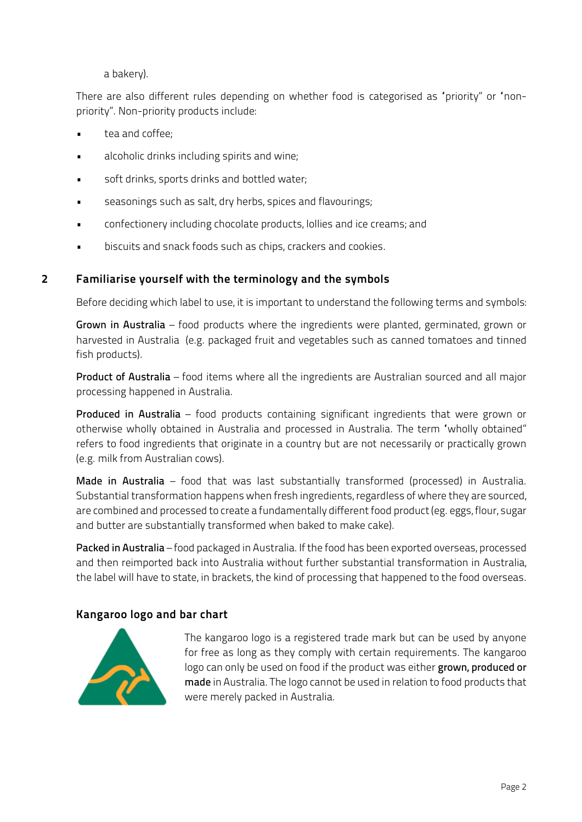a bakery).

There are also different rules depending on whether food is categorised as "priority" or "nonpriority". Non-priority products include:

- tea and coffee;
- alcoholic drinks including spirits and wine;
- soft drinks, sports drinks and bottled water;
- seasonings such as salt, dry herbs, spices and flavourings;
- confectionery including chocolate products, lollies and ice creams; and
- biscuits and snack foods such as chips, crackers and cookies.

## **2 Familiarise yourself with the terminology and the symbols**

Before deciding which label to use, it is important to understand the following terms and symbols:

Grown in Australia – food products where the ingredients were planted, germinated, grown or harvested in Australia (e.g. packaged fruit and vegetables such as canned tomatoes and tinned fish products).

Product of Australia – food items where all the ingredients are Australian sourced and all major processing happened in Australia.

Produced in Australia – food products containing significant ingredients that were grown or otherwise wholly obtained in Australia and processed in Australia. The term "wholly obtained" refers to food ingredients that originate in a country but are not necessarily or practically grown (e.g. milk from Australian cows).

Made in Australia – food that was last substantially transformed (processed) in Australia. Substantial transformation happens when fresh ingredients, regardless of where they are sourced, are combined and processed to create a fundamentally different food product (eg. eggs, flour, sugar and butter are substantially transformed when baked to make cake).

Packed in Australia – food packaged in Australia. If the food has been exported overseas, processed and then reimported back into Australia without further substantial transformation in Australia, the label will have to state, in brackets, the kind of processing that happened to the food overseas.

### **Kangaroo logo and bar chart**



The kangaroo logo is a registered trade mark but can be used by anyone for free as long as they comply with certain requirements. The kangaroo logo can only be used on food if the product was either grown, produced or made in Australia. The logo cannot be used in relation to food products that were merely packed in Australia.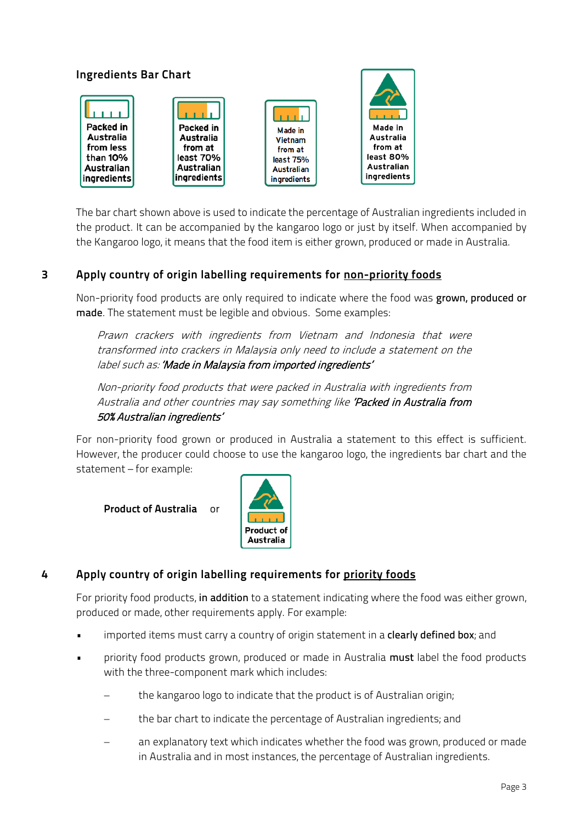

The bar chart shown above is used to indicate the percentage of Australian ingredients included in the product. It can be accompanied by the kangaroo logo or just by itself. When accompanied by the Kangaroo logo, it means that the food item is either grown, produced or made in Australia.

## **3 Apply country of origin labelling requirements for non-priority foods**

Non-priority food products are only required to indicate where the food was grown, produced or made. The statement must be legible and obvious. Some examples:

Prawn crackers with ingredients from Vietnam and Indonesia that were transformed into crackers in Malaysia only need to include a statement on the label such as: 'Made in Malaysia from imported ingredients'

Non-priority food products that were packed in Australia with ingredients from Australia and other countries may say something like 'Packed in Australia from 50% Australian ingredients'

For non-priority food grown or produced in Australia a statement to this effect is sufficient. However, the producer could choose to use the kangaroo logo, the ingredients bar chart and the statement – for example:

**Product of Australia** or



## **4 Apply country of origin labelling requirements for priority foods**

For priority food products, in addition to a statement indicating where the food was either grown, produced or made, other requirements apply. For example:

- **•** imported items must carry a country of origin statement in a **clearly defined box**; and
- priority food products grown, produced or made in Australia must label the food products with the three-component mark which includes:
	- the kangaroo logo to indicate that the product is of Australian origin;
	- the bar chart to indicate the percentage of Australian ingredients; and
	- an explanatory text which indicates whether the food was grown, produced or made in Australia and in most instances, the percentage of Australian ingredients.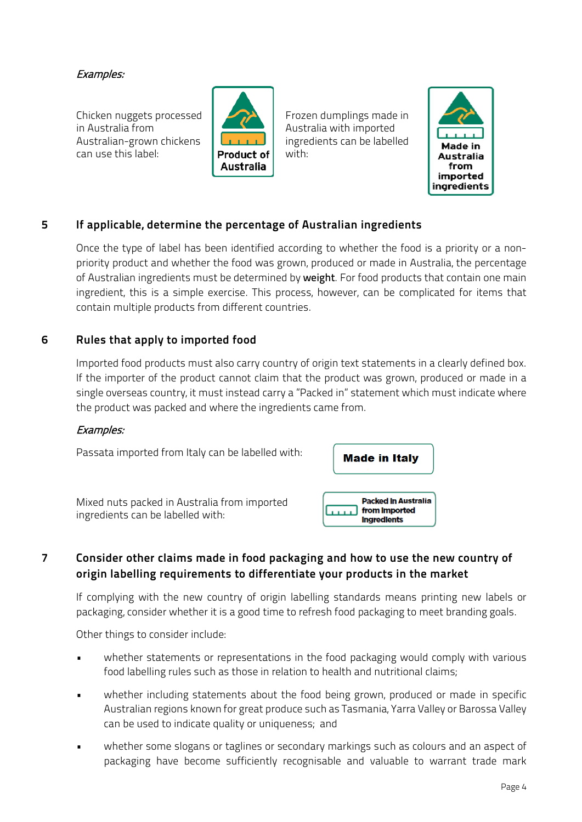#### Examples:

Chicken nuggets processed in Australia from Australian-grown chickens can use this label:



Frozen dumplings made in Australia with imported ingredients can be labelled with:



### **5 If applicable, determine the percentage of Australian ingredients**

Once the type of label has been identified according to whether the food is a priority or a nonpriority product and whether the food was grown, produced or made in Australia, the percentage of Australian ingredients must be determined by weight. For food products that contain one main ingredient, this is a simple exercise. This process, however, can be complicated for items that contain multiple products from different countries.

#### **6 Rules that apply to imported food**

Imported food products must also carry country of origin text statements in a clearly defined box. If the importer of the product cannot claim that the product was grown, produced or made in a single overseas country, it must instead carry a "Packed in" statement which must indicate where the product was packed and where the ingredients came from.

#### Examples:



## **7 Consider other claims made in food packaging and how to use the new country of origin labelling requirements to differentiate your products in the market**

If complying with the new country of origin labelling standards means printing new labels or packaging, consider whether it is a good time to refresh food packaging to meet branding goals.

Other things to consider include:

- whether statements or representations in the food packaging would comply with various food labelling rules such as those in relation to health and nutritional claims;
- whether including statements about the food being grown, produced or made in specific Australian regions known for great produce such as Tasmania, Yarra Valley or Barossa Valley can be used to indicate quality or uniqueness; and
- whether some slogans or taglines or secondary markings such as colours and an aspect of packaging have become sufficiently recognisable and valuable to warrant trade mark